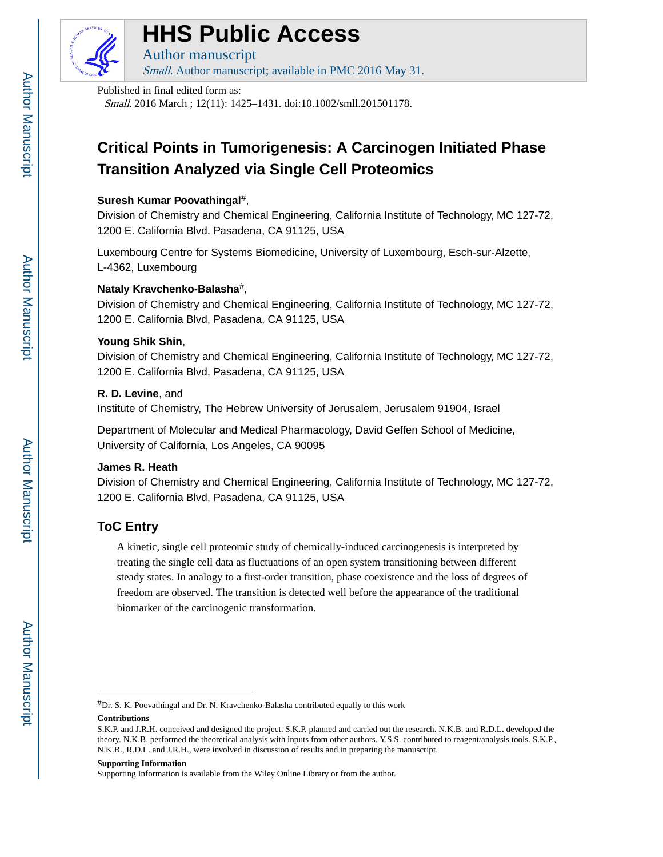

# **HHS Public Access**

Author manuscript Small. Author manuscript; available in PMC 2016 May 31.

Published in final edited form as:

Small. 2016 March ; 12(11): 1425–1431. doi:10.1002/smll.201501178.

## **Critical Points in Tumorigenesis: A Carcinogen Initiated Phase Transition Analyzed via Single Cell Proteomics**

## **Suresh Kumar Poovathingal**#,

Division of Chemistry and Chemical Engineering, California Institute of Technology, MC 127-72, 1200 E. California Blvd, Pasadena, CA 91125, USA

Luxembourg Centre for Systems Biomedicine, University of Luxembourg, Esch-sur-Alzette, L-4362, Luxembourg

## **Nataly Kravchenko-Balasha**#,

Division of Chemistry and Chemical Engineering, California Institute of Technology, MC 127-72, 1200 E. California Blvd, Pasadena, CA 91125, USA

## **Young Shik Shin**,

Division of Chemistry and Chemical Engineering, California Institute of Technology, MC 127-72, 1200 E. California Blvd, Pasadena, CA 91125, USA

## **R. D. Levine**, and

Institute of Chemistry, The Hebrew University of Jerusalem, Jerusalem 91904, Israel

Department of Molecular and Medical Pharmacology, David Geffen School of Medicine, University of California, Los Angeles, CA 90095

## **James R. Heath**

Division of Chemistry and Chemical Engineering, California Institute of Technology, MC 127-72, 1200 E. California Blvd, Pasadena, CA 91125, USA

## **ToC Entry**

A kinetic, single cell proteomic study of chemically-induced carcinogenesis is interpreted by treating the single cell data as fluctuations of an open system transitioning between different steady states. In analogy to a first-order transition, phase coexistence and the loss of degrees of freedom are observed. The transition is detected well before the appearance of the traditional biomarker of the carcinogenic transformation.

#### **Supporting Information**

Supporting Information is available from the Wiley Online Library or from the author.

<sup>#</sup>Dr. S. K. Poovathingal and Dr. N. Kravchenko-Balasha contributed equally to this work

**Contributions**

S.K.P. and J.R.H. conceived and designed the project. S.K.P. planned and carried out the research. N.K.B. and R.D.L. developed the theory. N.K.B. performed the theoretical analysis with inputs from other authors. Y.S.S. contributed to reagent/analysis tools. S.K.P., N.K.B., R.D.L. and J.R.H., were involved in discussion of results and in preparing the manuscript.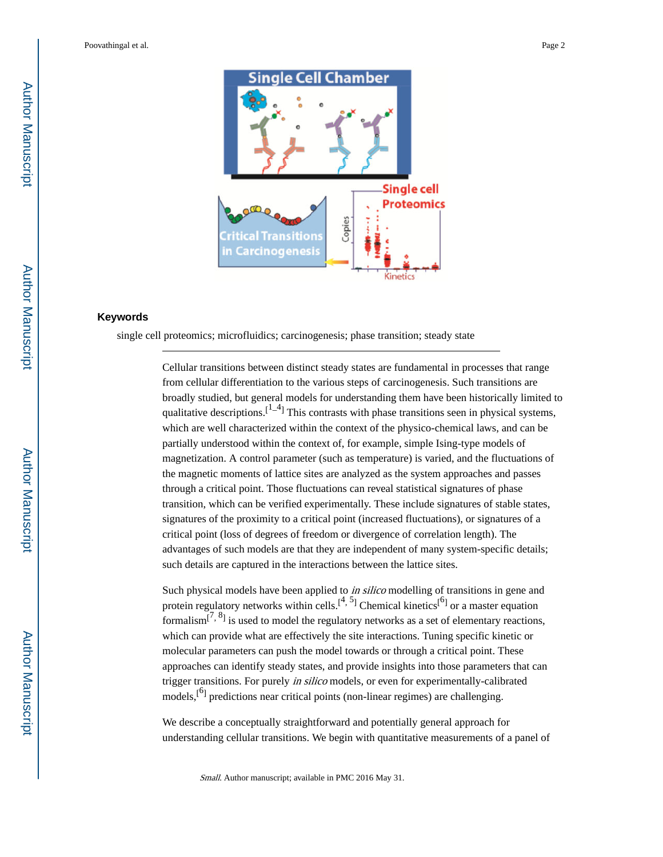

#### **Keywords**

single cell proteomics; microfluidics; carcinogenesis; phase transition; steady state

Cellular transitions between distinct steady states are fundamental in processes that range from cellular differentiation to the various steps of carcinogenesis. Such transitions are broadly studied, but general models for understanding them have been historically limited to qualitative descriptions.<sup>[1-4]</sup> This contrasts with phase transitions seen in physical systems, which are well characterized within the context of the physico-chemical laws, and can be partially understood within the context of, for example, simple Ising-type models of magnetization. A control parameter (such as temperature) is varied, and the fluctuations of the magnetic moments of lattice sites are analyzed as the system approaches and passes through a critical point. Those fluctuations can reveal statistical signatures of phase transition, which can be verified experimentally. These include signatures of stable states, signatures of the proximity to a critical point (increased fluctuations), or signatures of a critical point (loss of degrees of freedom or divergence of correlation length). The advantages of such models are that they are independent of many system-specific details; such details are captured in the interactions between the lattice sites.

Such physical models have been applied to *in silico* modelling of transitions in gene and protein regulatory networks within cells.<sup>[4, 5</sup>] Chemical kinetics<sup>[6]</sup> or a master equation formalism<sup>[7, 8</sup>] is used to model the regulatory networks as a set of elementary reactions, which can provide what are effectively the site interactions. Tuning specific kinetic or molecular parameters can push the model towards or through a critical point. These approaches can identify steady states, and provide insights into those parameters that can trigger transitions. For purely in silico models, or even for experimentally-calibrated models,<sup>[6]</sup> predictions near critical points (non-linear regimes) are challenging.

We describe a conceptually straightforward and potentially general approach for understanding cellular transitions. We begin with quantitative measurements of a panel of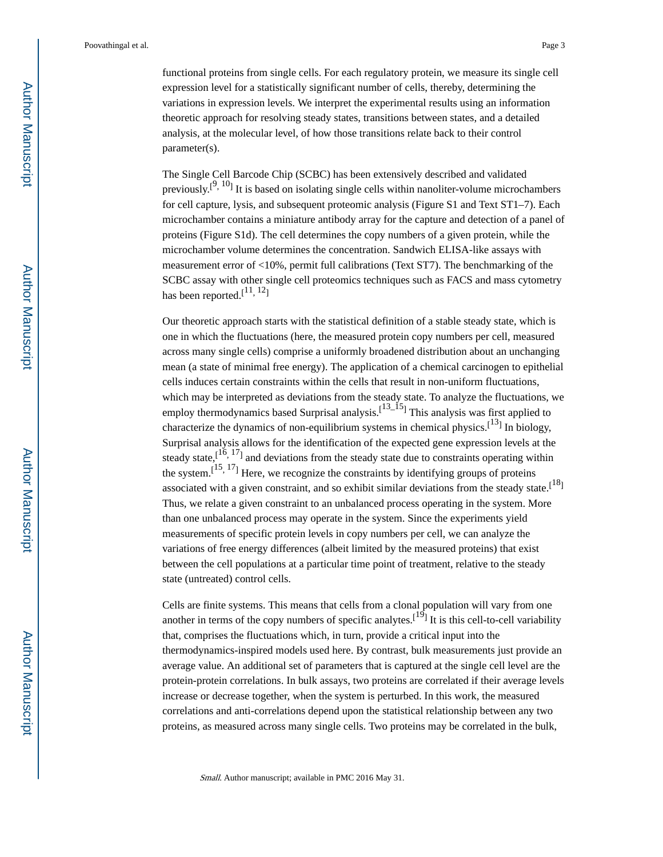functional proteins from single cells. For each regulatory protein, we measure its single cell expression level for a statistically significant number of cells, thereby, determining the variations in expression levels. We interpret the experimental results using an information theoretic approach for resolving steady states, transitions between states, and a detailed analysis, at the molecular level, of how those transitions relate back to their control parameter(s).

The Single Cell Barcode Chip (SCBC) has been extensively described and validated previously.<sup>[9, 10</sup>] It is based on isolating single cells within nanoliter-volume microchambers for cell capture, lysis, and subsequent proteomic analysis (Figure S1 and Text ST1–7). Each microchamber contains a miniature antibody array for the capture and detection of a panel of proteins (Figure S1d). The cell determines the copy numbers of a given protein, while the microchamber volume determines the concentration. Sandwich ELISA-like assays with measurement error of  $\langle 10\%$ , permit full calibrations (Text ST7). The benchmarking of the SCBC assay with other single cell proteomics techniques such as FACS and mass cytometry has been reported.<sup>[11, 12</sup>]

Our theoretic approach starts with the statistical definition of a stable steady state, which is one in which the fluctuations (here, the measured protein copy numbers per cell, measured across many single cells) comprise a uniformly broadened distribution about an unchanging mean (a state of minimal free energy). The application of a chemical carcinogen to epithelial cells induces certain constraints within the cells that result in non-uniform fluctuations, which may be interpreted as deviations from the steady state. To analyze the fluctuations, we employ thermodynamics based Surprisal analysis.<sup>[13\_15</sup>] This analysis was first applied to characterize the dynamics of non-equilibrium systems in chemical physics.<sup>[13]</sup> In biology, Surprisal analysis allows for the identification of the expected gene expression levels at the steady state,  $[16, 17]$  and deviations from the steady state due to constraints operating within the system.<sup>[15, 17</sup>] Here, we recognize the constraints by identifying groups of proteins associated with a given constraint, and so exhibit similar deviations from the steady state.<sup>[18]</sup> Thus, we relate a given constraint to an unbalanced process operating in the system. More than one unbalanced process may operate in the system. Since the experiments yield measurements of specific protein levels in copy numbers per cell, we can analyze the variations of free energy differences (albeit limited by the measured proteins) that exist between the cell populations at a particular time point of treatment, relative to the steady state (untreated) control cells.

Cells are finite systems. This means that cells from a clonal population will vary from one another in terms of the copy numbers of specific analytes.<sup>[19]</sup> It is this cell-to-cell variability that, comprises the fluctuations which, in turn, provide a critical input into the thermodynamics-inspired models used here. By contrast, bulk measurements just provide an average value. An additional set of parameters that is captured at the single cell level are the protein-protein correlations. In bulk assays, two proteins are correlated if their average levels increase or decrease together, when the system is perturbed. In this work, the measured correlations and anti-correlations depend upon the statistical relationship between any two proteins, as measured across many single cells. Two proteins may be correlated in the bulk,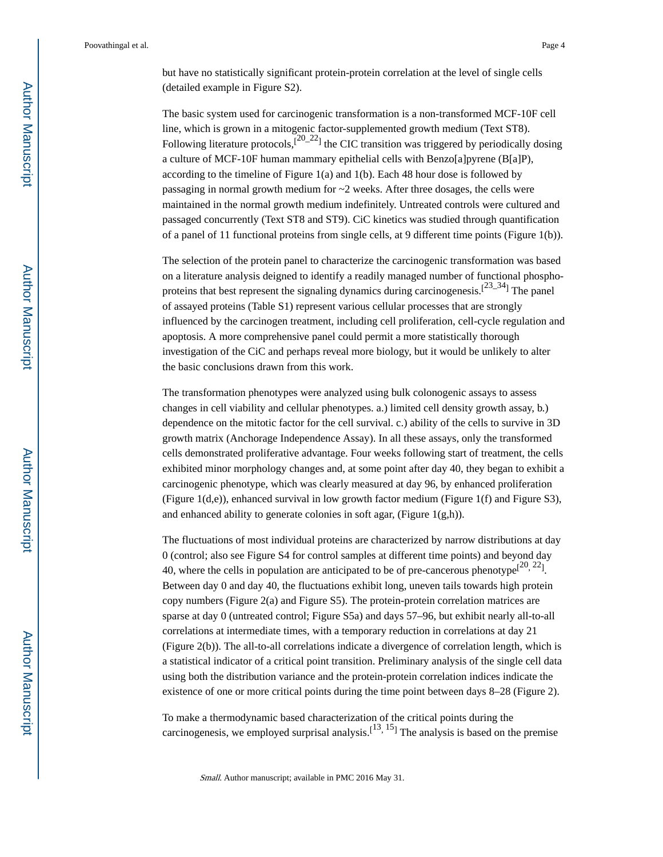but have no statistically significant protein-protein correlation at the level of single cells (detailed example in Figure S2).

The basic system used for carcinogenic transformation is a non-transformed MCF-10F cell line, which is grown in a mitogenic factor-supplemented growth medium (Text ST8). Following literature protocols, $\sqrt{20-22}$  the CIC transition was triggered by periodically dosing a culture of MCF-10F human mammary epithelial cells with Benzo[a]pyrene (B[a]P), according to the timeline of Figure 1(a) and 1(b). Each 48 hour dose is followed by passaging in normal growth medium for ~2 weeks. After three dosages, the cells were maintained in the normal growth medium indefinitely. Untreated controls were cultured and passaged concurrently (Text ST8 and ST9). CiC kinetics was studied through quantification of a panel of 11 functional proteins from single cells, at 9 different time points (Figure 1(b)).

The selection of the protein panel to characterize the carcinogenic transformation was based on a literature analysis deigned to identify a readily managed number of functional phosphoproteins that best represent the signaling dynamics during carcinogenesis.<sup>[23\_34</sup>] The panel of assayed proteins (Table S1) represent various cellular processes that are strongly influenced by the carcinogen treatment, including cell proliferation, cell-cycle regulation and apoptosis. A more comprehensive panel could permit a more statistically thorough investigation of the CiC and perhaps reveal more biology, but it would be unlikely to alter the basic conclusions drawn from this work.

The transformation phenotypes were analyzed using bulk colonogenic assays to assess changes in cell viability and cellular phenotypes. a.) limited cell density growth assay, b.) dependence on the mitotic factor for the cell survival. c.) ability of the cells to survive in 3D growth matrix (Anchorage Independence Assay). In all these assays, only the transformed cells demonstrated proliferative advantage. Four weeks following start of treatment, the cells exhibited minor morphology changes and, at some point after day 40, they began to exhibit a carcinogenic phenotype, which was clearly measured at day 96, by enhanced proliferation (Figure 1(d,e)), enhanced survival in low growth factor medium (Figure 1(f) and Figure S3), and enhanced ability to generate colonies in soft agar, (Figure 1(g,h)).

The fluctuations of most individual proteins are characterized by narrow distributions at day 0 (control; also see Figure S4 for control samples at different time points) and beyond day 40, where the cells in population are anticipated to be of pre-cancerous phenotype<sup>[20, 22</sup>]. Between day 0 and day 40, the fluctuations exhibit long, uneven tails towards high protein copy numbers (Figure 2(a) and Figure S5). The protein-protein correlation matrices are sparse at day 0 (untreated control; Figure S5a) and days 57–96, but exhibit nearly all-to-all correlations at intermediate times, with a temporary reduction in correlations at day 21 (Figure 2(b)). The all-to-all correlations indicate a divergence of correlation length, which is a statistical indicator of a critical point transition. Preliminary analysis of the single cell data using both the distribution variance and the protein-protein correlation indices indicate the existence of one or more critical points during the time point between days 8–28 (Figure 2).

To make a thermodynamic based characterization of the critical points during the carcinogenesis, we employed surprisal analysis.<sup>[13, 15</sup>] The analysis is based on the premise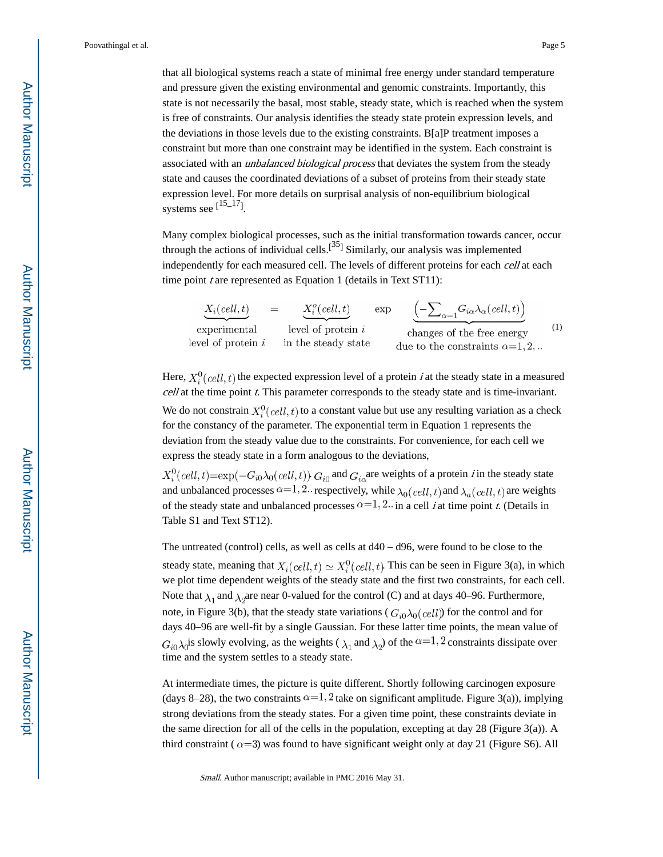that all biological systems reach a state of minimal free energy under standard temperature and pressure given the existing environmental and genomic constraints. Importantly, this state is not necessarily the basal, most stable, steady state, which is reached when the system is free of constraints. Our analysis identifies the steady state protein expression levels, and the deviations in those levels due to the existing constraints. B[a]P treatment imposes a constraint but more than one constraint may be identified in the system. Each constraint is associated with an *unbalanced biological process* that deviates the system from the steady state and causes the coordinated deviations of a subset of proteins from their steady state expression level. For more details on surprisal analysis of non-equilibrium biological systems see  $[15-17]$ .

Many complex biological processes, such as the initial transformation towards cancer, occur through the actions of individual cells.<sup>[35]</sup> Similarly, our analysis was implemented independently for each measured cell. The levels of different proteins for each *cell* at each time point  $t$  are represented as Equation 1 (details in Text ST11):

| $X_i(cell, t)$       | $\equiv$ | $X_i^o(\text{cell},t)$ | exp | $\left(-\sum_{\alpha=1}G_{i\alpha}\lambda_{\alpha}(cell,t)\right)$ |  |
|----------------------|----------|------------------------|-----|--------------------------------------------------------------------|--|
| experimental         |          | level of protein $i$   |     | changes of the free energy                                         |  |
| level of protein $i$ |          | in the steady state    |     | due to the constraints $\alpha = 1, 2, $                           |  |

Here,  $X_i^0(cell, t)$  the expected expression level of a protein *i* at the steady state in a measured  $cell$  at the time point  $t$ . This parameter corresponds to the steady state and is time-invariant.

We do not constrain  $X_i^0$  (cell, t) to a constant value but use any resulting variation as a check for the constancy of the parameter. The exponential term in Equation 1 represents the deviation from the steady value due to the constraints. For convenience, for each cell we express the steady state in a form analogous to the deviations,

 $X_i^0(cell, t) = \exp(-G_{i0}\lambda_0(cell, t))$ .  $G_{i0}$  and  $G_{i0}$  are weights of a protein *i* in the steady state and unbalanced processes  $\alpha=1,2$ . respectively, while  $\lambda_0(\text{cell}, t)$  and  $\lambda_a(\text{cell}, t)$  are weights of the steady state and unbalanced processes  $\alpha = 1, 2, \ldots$  in a cell *i* at time point *t*. (Details in Table S1 and Text ST12).

The untreated (control) cells, as well as cells at d40 – d96, were found to be close to the steady state, meaning that  $X_i(\text{cell}, t) \simeq X_i^0(\text{cell}, t)$ . This can be seen in Figure 3(a), in which we plot time dependent weights of the steady state and the first two constraints, for each cell. Note that  $\lambda_1$  and  $\lambda_2$  are near 0-valued for the control (C) and at days 40–96. Furthermore, note, in Figure 3(b), that the steady state variations ( $G_{i0}\lambda_0(\text{cell})$ ) for the control and for days 40–96 are well-fit by a single Gaussian. For these latter time points, the mean value of  $G_{i0}\lambda_0$  is slowly evolving, as the weights ( $\lambda_1$  and  $\lambda_2$ ) of the  $\alpha=1,2$  constraints dissipate over time and the system settles to a steady state.

At intermediate times, the picture is quite different. Shortly following carcinogen exposure (days 8–28), the two constraints  $\alpha=1$ , 2 take on significant amplitude. Figure 3(a)), implying strong deviations from the steady states. For a given time point, these constraints deviate in the same direction for all of the cells in the population, excepting at day 28 (Figure 3(a)). A third constraint ( $\alpha$ =3) was found to have significant weight only at day 21 (Figure S6). All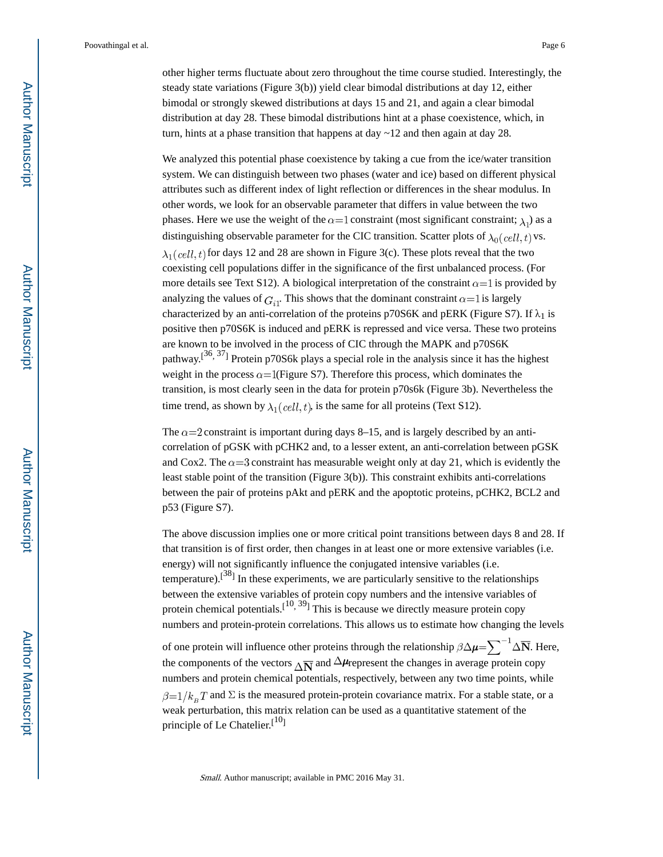other higher terms fluctuate about zero throughout the time course studied. Interestingly, the steady state variations (Figure 3(b)) yield clear bimodal distributions at day 12, either bimodal or strongly skewed distributions at days 15 and 21, and again a clear bimodal distribution at day 28. These bimodal distributions hint at a phase coexistence, which, in turn, hints at a phase transition that happens at day  $\sim$  12 and then again at day 28.

We analyzed this potential phase coexistence by taking a cue from the ice/water transition system. We can distinguish between two phases (water and ice) based on different physical attributes such as different index of light reflection or differences in the shear modulus. In other words, we look for an observable parameter that differs in value between the two phases. Here we use the weight of the  $\alpha=1$  constraint (most significant constraint;  $\lambda_1$ ) as a distinguishing observable parameter for the CIC transition. Scatter plots of  $\lambda_0(\text{cell}, t)$  vs.  $\lambda_1$ (cell, t) for days 12 and 28 are shown in Figure 3(c). These plots reveal that the two coexisting cell populations differ in the significance of the first unbalanced process. (For more details see Text S12). A biological interpretation of the constraint  $\alpha = 1$  is provided by analyzing the values of  $G_{i1}$ . This shows that the dominant constraint  $\alpha = 1$  is largely characterized by an anti-correlation of the proteins p70S6K and pERK (Figure S7). If  $\lambda_1$  is positive then p70S6K is induced and pERK is repressed and vice versa. These two proteins are known to be involved in the process of CIC through the MAPK and p70S6K pathway.<sup>[36, 37</sup>] Protein p70S6k plays a special role in the analysis since it has the highest weight in the process  $\alpha = 1$  (Figure S7). Therefore this process, which dominates the transition, is most clearly seen in the data for protein p70s6k (Figure 3b). Nevertheless the time trend, as shown by  $\lambda_1(\text{cell}, t)$ , is the same for all proteins (Text S12).

The  $\alpha$ =2 constraint is important during days 8–15, and is largely described by an anticorrelation of pGSK with pCHK2 and, to a lesser extent, an anti-correlation between pGSK and Cox2. The  $\alpha = 3$  constraint has measurable weight only at day 21, which is evidently the least stable point of the transition (Figure 3(b)). This constraint exhibits anti-correlations between the pair of proteins pAkt and pERK and the apoptotic proteins, pCHK2, BCL2 and p53 (Figure S7).

The above discussion implies one or more critical point transitions between days 8 and 28. If that transition is of first order, then changes in at least one or more extensive variables (i.e. energy) will not significantly influence the conjugated intensive variables (i.e. temperature).<sup>[38]</sup> In these experiments, we are particularly sensitive to the relationships between the extensive variables of protein copy numbers and the intensive variables of protein chemical potentials.  $[10, 39]$  This is because we directly measure protein copy numbers and protein-protein correlations. This allows us to estimate how changing the levels

of one protein will influence other proteins through the relationship  $\beta \Delta \mu = \sum^{-1} \Delta \overline{N}$ . Here, the components of the vectors  $\overline{\Delta N}$  and  $\Delta \mu$  represent the changes in average protein copy numbers and protein chemical potentials, respectively, between any two time points, while  $\beta=1/k_B T$  and  $\Sigma$  is the measured protein-protein covariance matrix. For a stable state, or a weak perturbation, this matrix relation can be used as a quantitative statement of the principle of Le Chatelier.<sup>[10]</sup>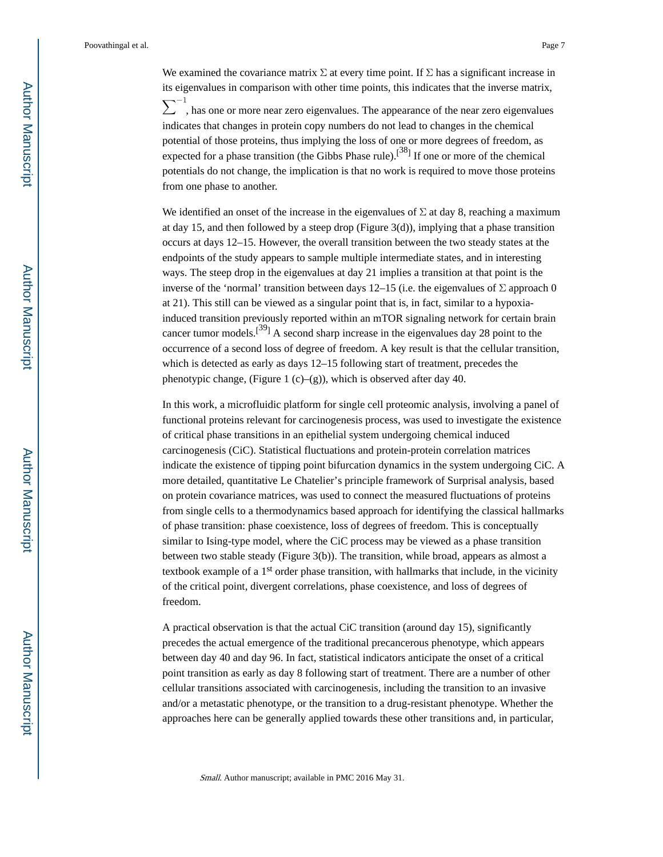We examined the covariance matrix  $\Sigma$  at every time point. If  $\Sigma$  has a significant increase in its eigenvalues in comparison with other time points, this indicates that the inverse matrix,  $\sum$ <sup>-1</sup>, has one or more near zero eigenvalues. The appearance of the near zero eigenvalues indicates that changes in protein copy numbers do not lead to changes in the chemical potential of those proteins, thus implying the loss of one or more degrees of freedom, as expected for a phase transition (the Gibbs Phase rule).<sup>[38]</sup> If one or more of the chemical potentials do not change, the implication is that no work is required to move those proteins from one phase to another.

We identified an onset of the increase in the eigenvalues of  $\Sigma$  at day 8, reaching a maximum at day 15, and then followed by a steep drop (Figure 3(d)), implying that a phase transition occurs at days 12–15. However, the overall transition between the two steady states at the endpoints of the study appears to sample multiple intermediate states, and in interesting ways. The steep drop in the eigenvalues at day 21 implies a transition at that point is the inverse of the 'normal' transition between days 12–15 (i.e. the eigenvalues of  $\Sigma$  approach 0 at 21). This still can be viewed as a singular point that is, in fact, similar to a hypoxiainduced transition previously reported within an mTOR signaling network for certain brain cancer tumor models.<sup>[39]</sup> A second sharp increase in the eigenvalues day 28 point to the occurrence of a second loss of degree of freedom. A key result is that the cellular transition, which is detected as early as days 12–15 following start of treatment, precedes the phenotypic change, (Figure 1 (c)–(g)), which is observed after day 40.

In this work, a microfluidic platform for single cell proteomic analysis, involving a panel of functional proteins relevant for carcinogenesis process, was used to investigate the existence of critical phase transitions in an epithelial system undergoing chemical induced carcinogenesis (CiC). Statistical fluctuations and protein-protein correlation matrices indicate the existence of tipping point bifurcation dynamics in the system undergoing CiC. A more detailed, quantitative Le Chatelier's principle framework of Surprisal analysis, based on protein covariance matrices, was used to connect the measured fluctuations of proteins from single cells to a thermodynamics based approach for identifying the classical hallmarks of phase transition: phase coexistence, loss of degrees of freedom. This is conceptually similar to Ising-type model, where the CiC process may be viewed as a phase transition between two stable steady (Figure 3(b)). The transition, while broad, appears as almost a textbook example of a 1st order phase transition, with hallmarks that include, in the vicinity of the critical point, divergent correlations, phase coexistence, and loss of degrees of freedom.

A practical observation is that the actual CiC transition (around day 15), significantly precedes the actual emergence of the traditional precancerous phenotype, which appears between day 40 and day 96. In fact, statistical indicators anticipate the onset of a critical point transition as early as day 8 following start of treatment. There are a number of other cellular transitions associated with carcinogenesis, including the transition to an invasive and/or a metastatic phenotype, or the transition to a drug-resistant phenotype. Whether the approaches here can be generally applied towards these other transitions and, in particular,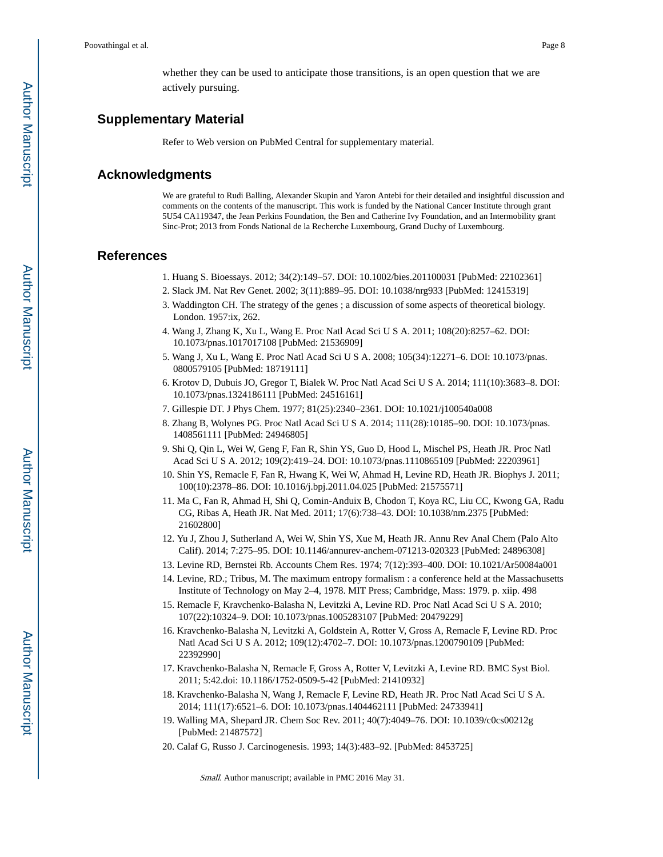whether they can be used to anticipate those transitions, is an open question that we are actively pursuing.

## **Supplementary Material**

Refer to Web version on PubMed Central for supplementary material.

## **Acknowledgments**

We are grateful to Rudi Balling, Alexander Skupin and Yaron Antebi for their detailed and insightful discussion and comments on the contents of the manuscript. This work is funded by the National Cancer Institute through grant 5U54 CA119347, the Jean Perkins Foundation, the Ben and Catherine Ivy Foundation, and an Intermobility grant Sinc-Prot; 2013 from Fonds National de la Recherche Luxembourg, Grand Duchy of Luxembourg.

#### **References**

- 1. Huang S. Bioessays. 2012; 34(2):149–57. DOI: 10.1002/bies.201100031 [PubMed: 22102361]
- 2. Slack JM. Nat Rev Genet. 2002; 3(11):889–95. DOI: 10.1038/nrg933 [PubMed: 12415319]
- 3. Waddington CH. The strategy of the genes ; a discussion of some aspects of theoretical biology. London. 1957:ix, 262.
- 4. Wang J, Zhang K, Xu L, Wang E. Proc Natl Acad Sci U S A. 2011; 108(20):8257–62. DOI: 10.1073/pnas.1017017108 [PubMed: 21536909]
- 5. Wang J, Xu L, Wang E. Proc Natl Acad Sci U S A. 2008; 105(34):12271–6. DOI: 10.1073/pnas. 0800579105 [PubMed: 18719111]
- 6. Krotov D, Dubuis JO, Gregor T, Bialek W. Proc Natl Acad Sci U S A. 2014; 111(10):3683–8. DOI: 10.1073/pnas.1324186111 [PubMed: 24516161]
- 7. Gillespie DT. J Phys Chem. 1977; 81(25):2340–2361. DOI: 10.1021/j100540a008
- 8. Zhang B, Wolynes PG. Proc Natl Acad Sci U S A. 2014; 111(28):10185–90. DOI: 10.1073/pnas. 1408561111 [PubMed: 24946805]
- 9. Shi Q, Qin L, Wei W, Geng F, Fan R, Shin YS, Guo D, Hood L, Mischel PS, Heath JR. Proc Natl Acad Sci U S A. 2012; 109(2):419–24. DOI: 10.1073/pnas.1110865109 [PubMed: 22203961]
- 10. Shin YS, Remacle F, Fan R, Hwang K, Wei W, Ahmad H, Levine RD, Heath JR. Biophys J. 2011; 100(10):2378–86. DOI: 10.1016/j.bpj.2011.04.025 [PubMed: 21575571]
- 11. Ma C, Fan R, Ahmad H, Shi Q, Comin-Anduix B, Chodon T, Koya RC, Liu CC, Kwong GA, Radu CG, Ribas A, Heath JR. Nat Med. 2011; 17(6):738–43. DOI: 10.1038/nm.2375 [PubMed: 21602800]
- 12. Yu J, Zhou J, Sutherland A, Wei W, Shin YS, Xue M, Heath JR. Annu Rev Anal Chem (Palo Alto Calif). 2014; 7:275–95. DOI: 10.1146/annurev-anchem-071213-020323 [PubMed: 24896308]
- 13. Levine RD, Bernstei Rb. Accounts Chem Res. 1974; 7(12):393–400. DOI: 10.1021/Ar50084a001
- 14. Levine, RD.; Tribus, M. The maximum entropy formalism : a conference held at the Massachusetts Institute of Technology on May 2–4, 1978. MIT Press; Cambridge, Mass: 1979. p. xiip. 498
- 15. Remacle F, Kravchenko-Balasha N, Levitzki A, Levine RD. Proc Natl Acad Sci U S A. 2010; 107(22):10324–9. DOI: 10.1073/pnas.1005283107 [PubMed: 20479229]
- 16. Kravchenko-Balasha N, Levitzki A, Goldstein A, Rotter V, Gross A, Remacle F, Levine RD. Proc Natl Acad Sci U S A. 2012; 109(12):4702–7. DOI: 10.1073/pnas.1200790109 [PubMed: 22392990]
- 17. Kravchenko-Balasha N, Remacle F, Gross A, Rotter V, Levitzki A, Levine RD. BMC Syst Biol. 2011; 5:42.doi: 10.1186/1752-0509-5-42 [PubMed: 21410932]
- 18. Kravchenko-Balasha N, Wang J, Remacle F, Levine RD, Heath JR. Proc Natl Acad Sci U S A. 2014; 111(17):6521–6. DOI: 10.1073/pnas.1404462111 [PubMed: 24733941]
- 19. Walling MA, Shepard JR. Chem Soc Rev. 2011; 40(7):4049–76. DOI: 10.1039/c0cs00212g [PubMed: 21487572]
- 20. Calaf G, Russo J. Carcinogenesis. 1993; 14(3):483–92. [PubMed: 8453725]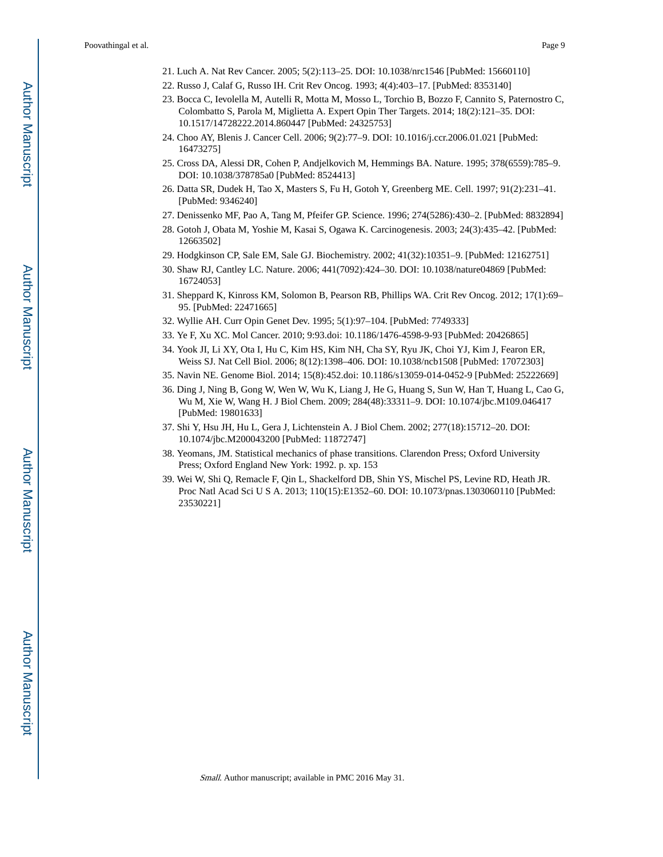- 22. Russo J, Calaf G, Russo IH. Crit Rev Oncog. 1993; 4(4):403–17. [PubMed: 8353140]
- 23. Bocca C, Ievolella M, Autelli R, Motta M, Mosso L, Torchio B, Bozzo F, Cannito S, Paternostro C, Colombatto S, Parola M, Miglietta A. Expert Opin Ther Targets. 2014; 18(2):121–35. DOI: 10.1517/14728222.2014.860447 [PubMed: 24325753]
- 24. Choo AY, Blenis J. Cancer Cell. 2006; 9(2):77–9. DOI: 10.1016/j.ccr.2006.01.021 [PubMed: 16473275]
- 25. Cross DA, Alessi DR, Cohen P, Andjelkovich M, Hemmings BA. Nature. 1995; 378(6559):785–9. DOI: 10.1038/378785a0 [PubMed: 8524413]
- 26. Datta SR, Dudek H, Tao X, Masters S, Fu H, Gotoh Y, Greenberg ME. Cell. 1997; 91(2):231–41. [PubMed: 9346240]
- 27. Denissenko MF, Pao A, Tang M, Pfeifer GP. Science. 1996; 274(5286):430–2. [PubMed: 8832894]
- 28. Gotoh J, Obata M, Yoshie M, Kasai S, Ogawa K. Carcinogenesis. 2003; 24(3):435–42. [PubMed: 12663502]
- 29. Hodgkinson CP, Sale EM, Sale GJ. Biochemistry. 2002; 41(32):10351–9. [PubMed: 12162751]
- 30. Shaw RJ, Cantley LC. Nature. 2006; 441(7092):424–30. DOI: 10.1038/nature04869 [PubMed: 16724053]
- 31. Sheppard K, Kinross KM, Solomon B, Pearson RB, Phillips WA. Crit Rev Oncog. 2012; 17(1):69– 95. [PubMed: 22471665]
- 32. Wyllie AH. Curr Opin Genet Dev. 1995; 5(1):97–104. [PubMed: 7749333]
- 33. Ye F, Xu XC. Mol Cancer. 2010; 9:93.doi: 10.1186/1476-4598-9-93 [PubMed: 20426865]
- 34. Yook JI, Li XY, Ota I, Hu C, Kim HS, Kim NH, Cha SY, Ryu JK, Choi YJ, Kim J, Fearon ER, Weiss SJ. Nat Cell Biol. 2006; 8(12):1398–406. DOI: 10.1038/ncb1508 [PubMed: 17072303]
- 35. Navin NE. Genome Biol. 2014; 15(8):452.doi: 10.1186/s13059-014-0452-9 [PubMed: 25222669]
- 36. Ding J, Ning B, Gong W, Wen W, Wu K, Liang J, He G, Huang S, Sun W, Han T, Huang L, Cao G, Wu M, Xie W, Wang H. J Biol Chem. 2009; 284(48):33311–9. DOI: 10.1074/jbc.M109.046417 [PubMed: 19801633]
- 37. Shi Y, Hsu JH, Hu L, Gera J, Lichtenstein A. J Biol Chem. 2002; 277(18):15712–20. DOI: 10.1074/jbc.M200043200 [PubMed: 11872747]
- 38. Yeomans, JM. Statistical mechanics of phase transitions. Clarendon Press; Oxford University Press; Oxford England New York: 1992. p. xp. 153
- 39. Wei W, Shi Q, Remacle F, Qin L, Shackelford DB, Shin YS, Mischel PS, Levine RD, Heath JR. Proc Natl Acad Sci U S A. 2013; 110(15):E1352–60. DOI: 10.1073/pnas.1303060110 [PubMed: 23530221]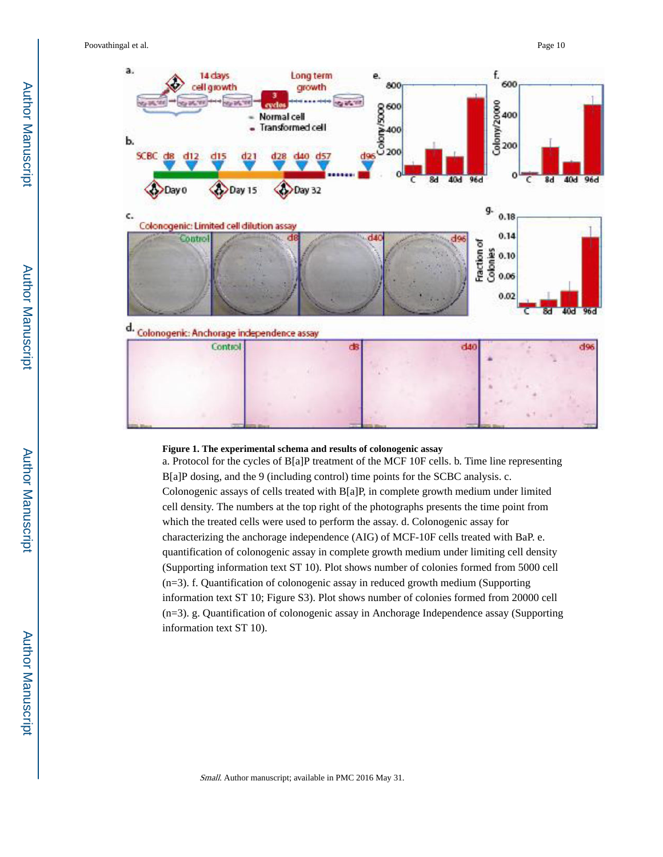

#### **Figure 1. The experimental schema and results of colonogenic assay**

a. Protocol for the cycles of B[a]P treatment of the MCF 10F cells. b. Time line representing B[a]P dosing, and the 9 (including control) time points for the SCBC analysis. c. Colonogenic assays of cells treated with  $B[a]P$ , in complete growth medium under limited cell density. The numbers at the top right of the photographs presents the time point from which the treated cells were used to perform the assay. d. Colonogenic assay for characterizing the anchorage independence (AIG) of MCF-10F cells treated with BaP. e. quantification of colonogenic assay in complete growth medium under limiting cell density (Supporting information text ST 10). Plot shows number of colonies formed from 5000 cell (n=3). f. Quantification of colonogenic assay in reduced growth medium (Supporting information text ST 10; Figure S3). Plot shows number of colonies formed from 20000 cell (n=3). g. Quantification of colonogenic assay in Anchorage Independence assay (Supporting information text ST 10).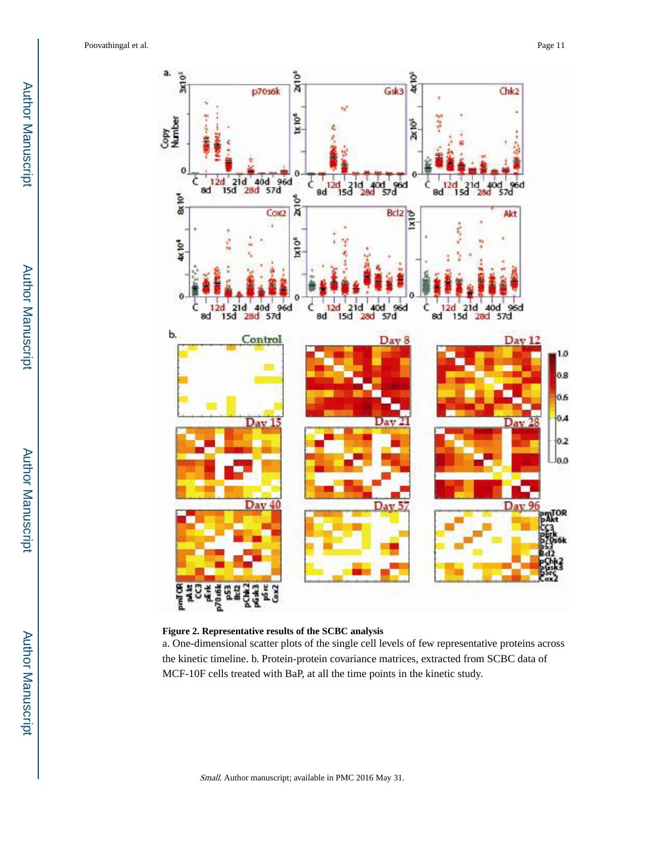

#### **Figure 2. Representative results of the SCBC analysis**

a. One-dimensional scatter plots of the single cell levels of few representative proteins across the kinetic timeline. b. Protein-protein covariance matrices, extracted from SCBC data of MCF-10F cells treated with BaP, at all the time points in the kinetic study.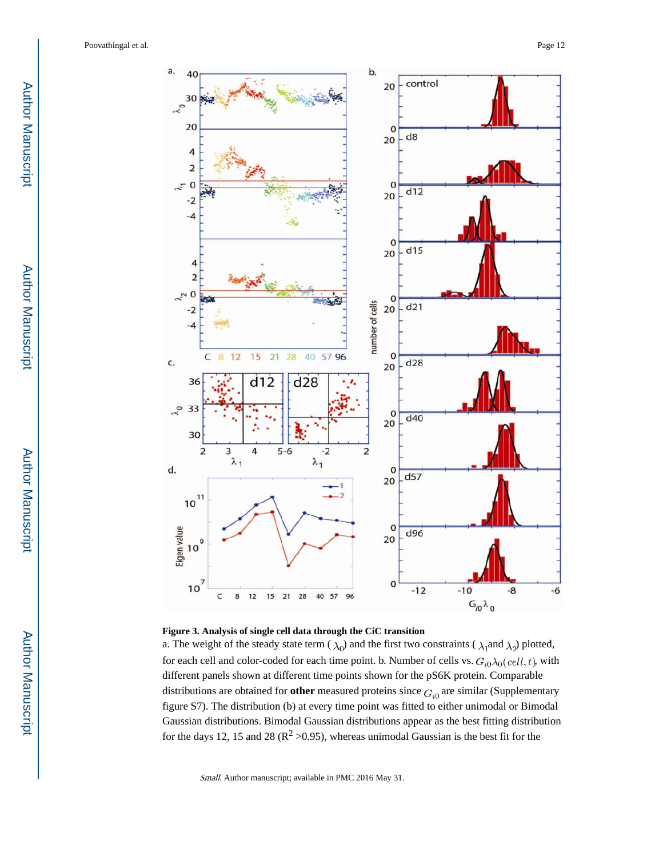



a. The weight of the steady state term ( $\lambda_0$ ) and the first two constraints ( $\lambda_1$ and  $\lambda_2$ ) plotted, for each cell and color-coded for each time point. b. Number of cells vs.  $G_{i0}\lambda_0(cell, t)$ , with different panels shown at different time points shown for the pS6K protein. Comparable distributions are obtained for **other** measured proteins since  $G_{i0}$  are similar (Supplementary figure S7). The distribution (b) at every time point was fitted to either unimodal or Bimodal Gaussian distributions. Bimodal Gaussian distributions appear as the best fitting distribution for the days 12, 15 and 28 ( $\mathbb{R}^2$  >0.95), whereas unimodal Gaussian is the best fit for the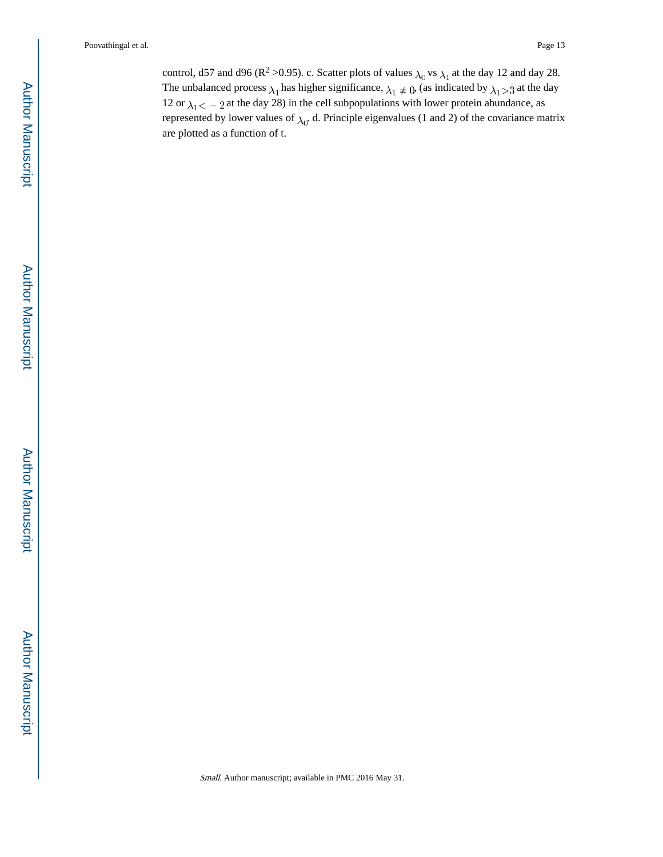control, d57 and d96 ( $\mathbb{R}^2$  >0.95). c. Scatter plots of values  $\lambda_0$  vs  $\lambda_1$  at the day 12 and day 28. The unbalanced process  $\lambda_1$  has higher significance,  $\lambda_1 \neq 0$ , (as indicated by  $\lambda_1 > 3$  at the day 12 or  $\lambda_1 < -2$  at the day 28) in the cell subpopulations with lower protein abundance, as represented by lower values of  $\lambda_0$ . d. Principle eigenvalues (1 and 2) of the covariance matrix are plotted as a function of t.